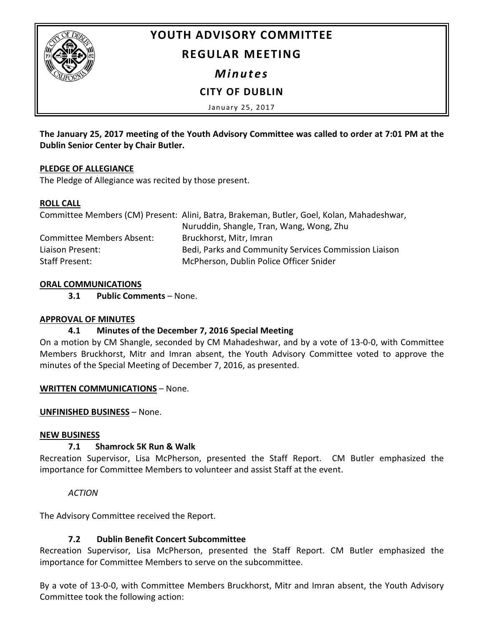

# **YOUTH ADVISORY COMMITTEE**

# **REGULAR MEETING**

*Minutes*

# **CITY OF DUBLIN**

January 25, 2017

**The January 25, 2017 meeting of the Youth Advisory Committee was called to order at 7:01 PM at the Dublin Senior Center by Chair Butler.**

## **PLEDGE OF ALLEGIANCE**

The Pledge of Allegiance was recited by those present.

## **ROLL CALL**

|                           | Committee Members (CM) Present: Alini, Batra, Brakeman, Butler, Goel, Kolan, Mahadeshwar, |
|---------------------------|-------------------------------------------------------------------------------------------|
|                           | Nuruddin, Shangle, Tran, Wang, Wong, Zhu                                                  |
| Committee Members Absent: | Bruckhorst, Mitr, Imran                                                                   |
| Liaison Present:          | Bedi, Parks and Community Services Commission Liaison                                     |
| Staff Present:            | McPherson, Dublin Police Officer Snider                                                   |

## **ORAL COMMUNICATIONS**

**3.1 Public Comments** – None.

## **APPROVAL OF MINUTES**

# **4.1 Minutes of the December 7, 2016 Special Meeting**

On a motion by CM Shangle, seconded by CM Mahadeshwar, and by a vote of 13-0-0, with Committee Members Bruckhorst, Mitr and Imran absent, the Youth Advisory Committee voted to approve the minutes of the Special Meeting of December 7, 2016, as presented.

## **WRITTEN COMMUNICATIONS** – None.

## **UNFINISHED BUSINESS** – None.

## **NEW BUSINESS**

## **7.1 Shamrock 5K Run & Walk**

Recreation Supervisor, Lisa McPherson, presented the Staff Report. CM Butler emphasized the importance for Committee Members to volunteer and assist Staff at the event.

## *ACTION*

The Advisory Committee received the Report.

# **7.2 Dublin Benefit Concert Subcommittee**

Recreation Supervisor, Lisa McPherson, presented the Staff Report. CM Butler emphasized the importance for Committee Members to serve on the subcommittee.

By a vote of 13-0-0, with Committee Members Bruckhorst, Mitr and Imran absent, the Youth Advisory Committee took the following action: